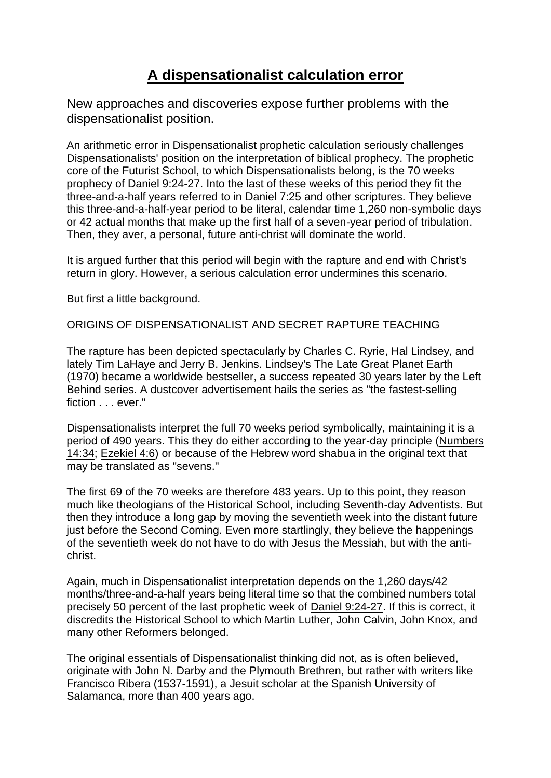# **[A dispensationalist calculation error](https://www.ministrymagazine.org/)**

New approaches and discoveries expose further problems with the dispensationalist position.

An arithmetic error in Dispensationalist prophetic calculation seriously challenges Dispensationalists' position on the interpretation of biblical prophecy. The prophetic core of the Futurist School, to which Dispensationalists belong, is the 70 weeks prophecy of Daniel [9:24-27.](https://biblia.com/bible/esv/Dan%209.24-27) Into the last of these weeks of this period they fit the three-and-a-half years referred to in [Daniel](https://biblia.com/bible/esv/Dan%207.25) 7:25 and other scriptures. They believe this three-and-a-half-year period to be literal, calendar time 1,260 non-symbolic days or 42 actual months that make up the first half of a seven-year period of tribulation. Then, they aver, a personal, future anti-christ will dominate the world.

It is argued further that this period will begin with the rapture and end with Christ's return in glory. However, a serious calculation error undermines this scenario.

But first a little background.

ORIGINS OF DISPENSATIONALIST AND SECRET RAPTURE TEACHING

The rapture has been depicted spectacularly by Charles C. Ryrie, Hal Lindsey, and lately Tim LaHaye and Jerry B. Jenkins. Lindsey's The Late Great Planet Earth (1970) became a worldwide bestseller, a success repeated 30 years later by the Left Behind series. A dustcover advertisement hails the series as "the fastest-selling fiction . . . ever."

Dispensationalists interpret the full 70 weeks period symbolically, maintaining it is a period of 490 years. This they do either according to the year-day principle [\(Numbers](https://biblia.com/bible/esv/Num.%2014.34) [14:34;](https://biblia.com/bible/esv/Num.%2014.34) [Ezekiel](https://biblia.com/bible/esv/Ezek.%204.6) 4:6) or because of the Hebrew word shabua in the original text that may be translated as "sevens."

The first 69 of the 70 weeks are therefore 483 years. Up to this point, they reason much like theologians of the Historical School, including Seventh-day Adventists. But then they introduce a long gap by moving the seventieth week into the distant future just before the Second Coming. Even more startlingly, they believe the happenings of the seventieth week do not have to do with Jesus the Messiah, but with the antichrist.

Again, much in Dispensationalist interpretation depends on the 1,260 days/42 months/three-and-a-half years being literal time so that the combined numbers total precisely 50 percent of the last prophetic week of Daniel [9:24-27.](https://biblia.com/bible/esv/Dan%209.24-27) If this is correct, it discredits the Historical School to which Martin Luther, John Calvin, John Knox, and many other Reformers belonged.

The original essentials of Dispensationalist thinking did not, as is often believed, originate with John N. Darby and the Plymouth Brethren, but rather with writers like Francisco Ribera (1537-1591), a Jesuit scholar at the Spanish University of Salamanca, more than 400 years ago.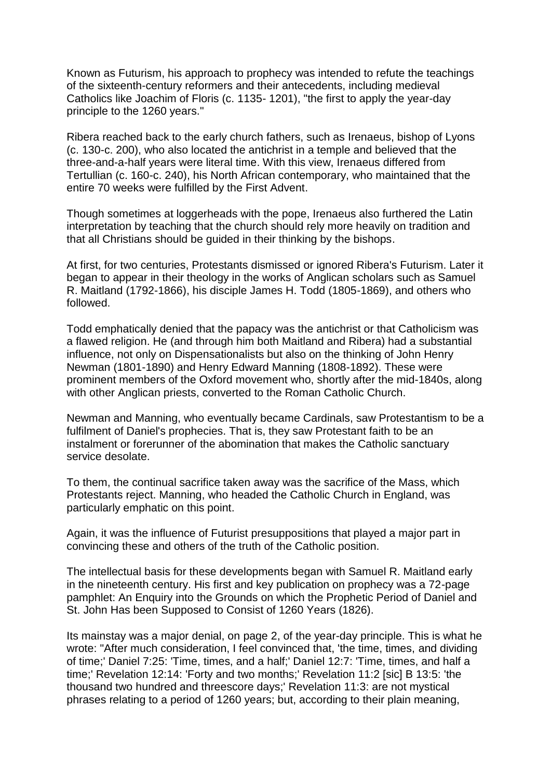Known as Futurism, his approach to prophecy was intended to refute the teachings of the sixteenth-century reformers and their antecedents, including medieval Catholics like Joachim of Floris (c. 1135- 1201), "the first to apply the year-day principle to the 1260 years."

Ribera reached back to the early church fathers, such as Irenaeus, bishop of Lyons (c. 130-c. 200), who also located the antichrist in a temple and believed that the three-and-a-half years were literal time. With this view, Irenaeus differed from Tertullian (c. 160-c. 240), his North African contemporary, who maintained that the entire 70 weeks were fulfilled by the First Advent.

Though sometimes at loggerheads with the pope, Irenaeus also furthered the Latin interpretation by teaching that the church should rely more heavily on tradition and that all Christians should be guided in their thinking by the bishops.

At first, for two centuries, Protestants dismissed or ignored Ribera's Futurism. Later it began to appear in their theology in the works of Anglican scholars such as Samuel R. Maitland (1792-1866), his disciple James H. Todd (1805-1869), and others who followed.

Todd emphatically denied that the papacy was the antichrist or that Catholicism was a flawed religion. He (and through him both Maitland and Ribera) had a substantial influence, not only on Dispensationalists but also on the thinking of John Henry Newman (1801-1890) and Henry Edward Manning (1808-1892). These were prominent members of the Oxford movement who, shortly after the mid-1840s, along with other Anglican priests, converted to the Roman Catholic Church.

Newman and Manning, who eventually became Cardinals, saw Protestantism to be a fulfilment of Daniel's prophecies. That is, they saw Protestant faith to be an instalment or forerunner of the abomination that makes the Catholic sanctuary service desolate.

To them, the continual sacrifice taken away was the sacrifice of the Mass, which Protestants reject. Manning, who headed the Catholic Church in England, was particularly emphatic on this point.

Again, it was the influence of Futurist presuppositions that played a major part in convincing these and others of the truth of the Catholic position.

The intellectual basis for these developments began with Samuel R. Maitland early in the nineteenth century. His first and key publication on prophecy was a 72-page pamphlet: An Enquiry into the Grounds on which the Prophetic Period of Daniel and St. John Has been Supposed to Consist of 1260 Years (1826).

Its mainstay was a major denial, on page 2, of the year-day principle. This is what he wrote: "After much consideration, I feel convinced that, 'the time, times, and dividing of time;' Daniel 7:25: 'Time, times, and a half;' Daniel 12:7: 'Time, times, and half a time;' Revelation 12:14: 'Forty and two months;' Revelation 11:2 [sic] B 13:5: 'the thousand two hundred and threescore days;' Revelation 11:3: are not mystical phrases relating to a period of 1260 years; but, according to their plain meaning,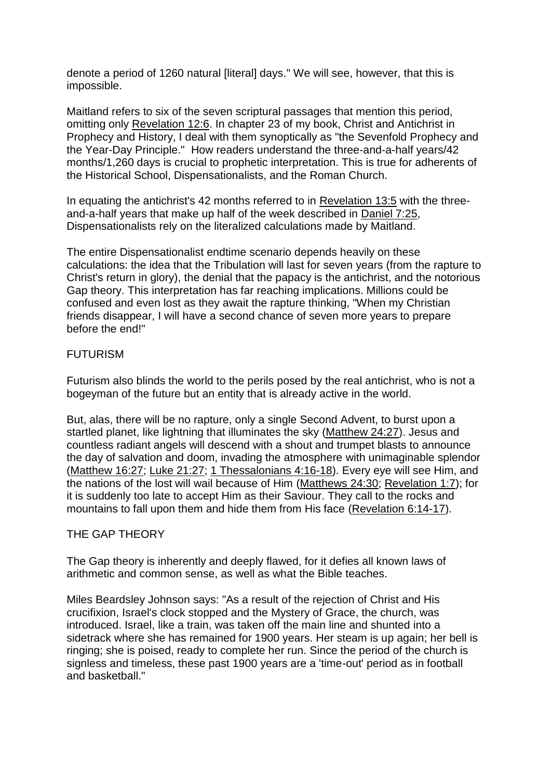denote a period of 1260 natural [literal] days." We will see, however, that this is impossible.

Maitland refers to six of the seven scriptural passages that mention this period, omitting only [Revelation](https://biblia.com/bible/esv/Rev%2012.6) 12:6. In chapter 23 of my book, Christ and Antichrist in Prophecy and History, I deal with them synoptically as "the Sevenfold Prophecy and the Year-Day Principle." How readers understand the three-and-a-half years/42 months/1,260 days is crucial to prophetic interpretation. This is true for adherents of the Historical School, Dispensationalists, and the Roman Church.

In equating the antichrist's 42 months referred to in [Revelation](https://biblia.com/bible/esv/Rev%2013.5) 13:5 with the threeand-a-half years that make up half of the week described in [Daniel](https://biblia.com/bible/esv/Dan%207.25) 7:25, Dispensationalists rely on the literalized calculations made by Maitland.

The entire Dispensationalist endtime scenario depends heavily on these calculations: the idea that the Tribulation will last for seven years (from the rapture to Christ's return in glory), the denial that the papacy is the antichrist, and the notorious Gap theory. This interpretation has far reaching implications. Millions could be confused and even lost as they await the rapture thinking, "When my Christian friends disappear, I will have a second chance of seven more years to prepare before the end!"

## FUTURISM

Futurism also blinds the world to the perils posed by the real antichrist, who is not a bogeyman of the future but an entity that is already active in the world.

But, alas, there will be no rapture, only a single Second Advent, to burst upon a startled planet, like lightning that illuminates the sky [\(Matthew](https://biblia.com/bible/esv/Matt.%2024.27) 24:27). Jesus and countless radiant angels will descend with a shout and trumpet blasts to announce the day of salvation and doom, invading the atmosphere with unimaginable splendor [\(Matthew](https://biblia.com/bible/esv/Matt.%2016.27) 16:27; Luke [21:27;](https://biblia.com/bible/esv/Luke%2021.27) 1 [Thessalonians](https://biblia.com/bible/esv/1%20Thess.%204.16-18) 4:16-18). Every eye will see Him, and the nations of the lost will wail because of Him [\(Matthews](https://biblia.com/bible/esv/Matt.%2024.30) 24:30; [Revelation](https://biblia.com/bible/esv/Rev.%201.7) 1:7); for it is suddenly too late to accept Him as their Saviour. They call to the rocks and mountains to fall upon them and hide them from His face [\(Revelation](https://biblia.com/bible/esv/Rev.%206.14-17) 6:14-17).

#### THE GAP THEORY

The Gap theory is inherently and deeply flawed, for it defies all known laws of arithmetic and common sense, as well as what the Bible teaches.

Miles Beardsley Johnson says: "As a result of the rejection of Christ and His crucifixion, Israel's clock stopped and the Mystery of Grace, the church, was introduced. Israel, like a train, was taken off the main line and shunted into a sidetrack where she has remained for 1900 years. Her steam is up again; her bell is ringing; she is poised, ready to complete her run. Since the period of the church is signless and timeless, these past 1900 years are a 'time-out' period as in football and basketball."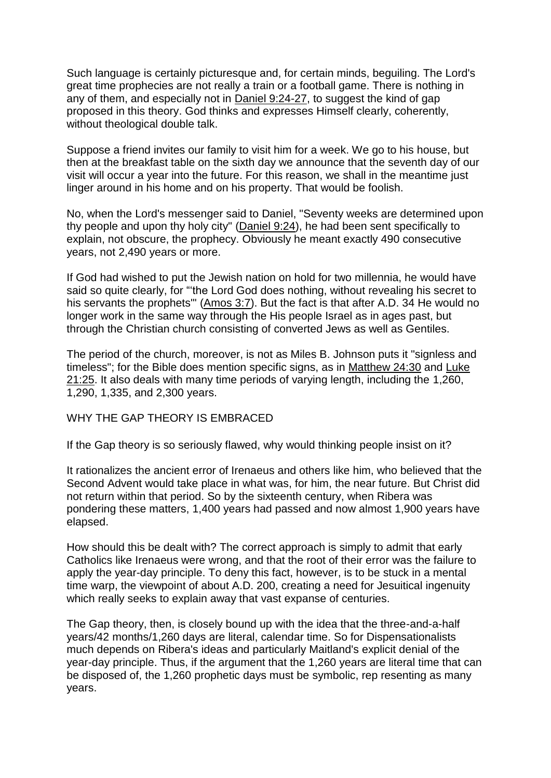Such language is certainly picturesque and, for certain minds, beguiling. The Lord's great time prophecies are not really a train or a football game. There is nothing in any of them, and especially not in Daniel [9:24-27,](https://biblia.com/bible/esv/Dan%209.24-27) to suggest the kind of gap proposed in this theory. God thinks and expresses Himself clearly, coherently, without theological double talk.

Suppose a friend invites our family to visit him for a week. We go to his house, but then at the breakfast table on the sixth day we announce that the seventh day of our visit will occur a year into the future. For this reason, we shall in the meantime just linger around in his home and on his property. That would be foolish.

No, when the Lord's messenger said to Daniel, "Seventy weeks are determined upon thy people and upon thy holy city" [\(Daniel](https://biblia.com/bible/esv/Dan.%209.24) 9:24), he had been sent specifically to explain, not obscure, the prophecy. Obviously he meant exactly 490 consecutive years, not 2,490 years or more.

If God had wished to put the Jewish nation on hold for two millennia, he would have said so quite clearly, for "'the Lord God does nothing, without revealing his secret to his servants the prophets'" [\(Amos](https://biblia.com/bible/esv/Amos%203.7) 3:7). But the fact is that after A.D. 34 He would no longer work in the same way through the His people Israel as in ages past, but through the Christian church consisting of converted Jews as well as Gentiles.

The period of the church, moreover, is not as Miles B. Johnson puts it "signless and timeless"; for the Bible does mention specific signs, as in [Matthew](https://biblia.com/bible/esv/Matt%2024.30) 24:30 and [Luke](https://biblia.com/bible/esv/Luke%2021.25) [21:25.](https://biblia.com/bible/esv/Luke%2021.25) It also deals with many time periods of varying length, including the 1,260, 1,290, 1,335, and 2,300 years.

WHY THE GAP THEORY IS EMBRACED

If the Gap theory is so seriously flawed, why would thinking people insist on it?

It rationalizes the ancient error of Irenaeus and others like him, who believed that the Second Advent would take place in what was, for him, the near future. But Christ did not return within that period. So by the sixteenth century, when Ribera was pondering these matters, 1,400 years had passed and now almost 1,900 years have elapsed.

How should this be dealt with? The correct approach is simply to admit that early Catholics like Irenaeus were wrong, and that the root of their error was the failure to apply the year-day principle. To deny this fact, however, is to be stuck in a mental time warp, the viewpoint of about A.D. 200, creating a need for Jesuitical ingenuity which really seeks to explain away that vast expanse of centuries.

The Gap theory, then, is closely bound up with the idea that the three-and-a-half years/42 months/1,260 days are literal, calendar time. So for Dispensationalists much depends on Ribera's ideas and particularly Maitland's explicit denial of the year-day principle. Thus, if the argument that the 1,260 years are literal time that can be disposed of, the 1,260 prophetic days must be symbolic, rep resenting as many years.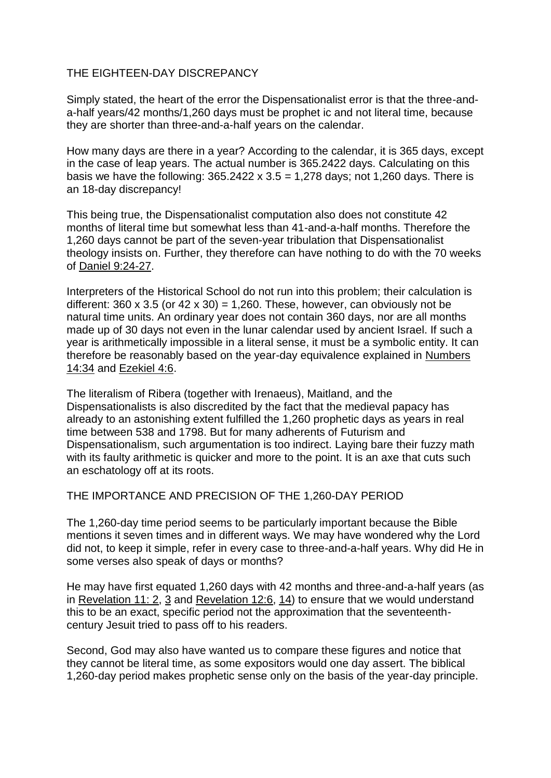# THE EIGHTEEN-DAY DISCREPANCY

Simply stated, the heart of the error the Dispensationalist error is that the three-anda-half years/42 months/1,260 days must be prophet ic and not literal time, because they are shorter than three-and-a-half years on the calendar.

How many days are there in a year? According to the calendar, it is 365 days, except in the case of leap years. The actual number is 365.2422 days. Calculating on this basis we have the following:  $365.2422 \times 3.5 = 1,278$  days; not 1,260 days. There is an 18-day discrepancy!

This being true, the Dispensationalist computation also does not constitute 42 months of literal time but somewhat less than 41-and-a-half months. Therefore the 1,260 days cannot be part of the seven-year tribulation that Dispensationalist theology insists on. Further, they therefore can have nothing to do with the 70 weeks of Daniel [9:24-27.](https://biblia.com/bible/esv/Dan%209.24-27)

Interpreters of the Historical School do not run into this problem; their calculation is different:  $360 \times 3.5$  (or  $42 \times 30$ ) = 1,260. These, however, can obviously not be natural time units. An ordinary year does not contain 360 days, nor are all months made up of 30 days not even in the lunar calendar used by ancient Israel. If such a year is arithmetically impossible in a literal sense, it must be a symbolic entity. It can therefore be reasonably based on the year-day equivalence explained in [Numbers](https://biblia.com/bible/esv/Num%2014.34) [14:34](https://biblia.com/bible/esv/Num%2014.34) and [Ezekiel](https://biblia.com/bible/esv/Ezek%204.6) 4:6.

The literalism of Ribera (together with Irenaeus), Maitland, and the Dispensationalists is also discredited by the fact that the medieval papacy has already to an astonishing extent fulfilled the 1,260 prophetic days as years in real time between 538 and 1798. But for many adherents of Futurism and Dispensationalism, such argumentation is too indirect. Laying bare their fuzzy math with its faulty arithmetic is quicker and more to the point. It is an axe that cuts such an eschatology off at its roots.

THE IMPORTANCE AND PRECISION OF THE 1,260-DAY PERIOD

The 1,260-day time period seems to be particularly important because the Bible mentions it seven times and in different ways. We may have wondered why the Lord did not, to keep it simple, refer in every case to three-and-a-half years. Why did He in some verses also speak of days or months?

He may have first equated 1,260 days with 42 months and three-and-a-half years (as in [Revelation](https://biblia.com/bible/esv/Rev.%2011.%202) 11: 2, [3](https://biblia.com/bible/esv/Rev%2011.3) and [Revelation](https://biblia.com/bible/esv/Rev.%2012.6) 12:6, [14\)](https://biblia.com/bible/esv/Rev%2012.14) to ensure that we would understand this to be an exact, specific period not the approximation that the seventeenthcentury Jesuit tried to pass off to his readers.

Second, God may also have wanted us to compare these figures and notice that they cannot be literal time, as some expositors would one day assert. The biblical 1,260-day period makes prophetic sense only on the basis of the year-day principle.